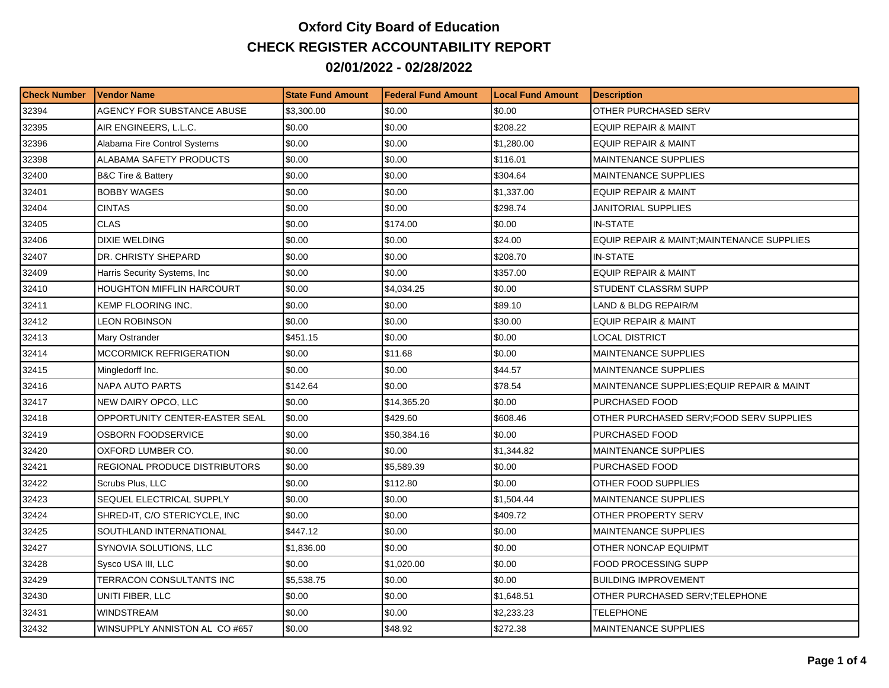## **Oxford City Board of Education CHECK REGISTER ACCOUNTABILITY REPORT 02/01/2022 - 02/28/2022**

| <b>Check Number</b> | <b>Vendor Name</b>                | <b>State Fund Amount</b> | l Federal Fund Amount | <b>Local Fund Amount</b> | <b>Description</b>                         |
|---------------------|-----------------------------------|--------------------------|-----------------------|--------------------------|--------------------------------------------|
| 32394               | AGENCY FOR SUBSTANCE ABUSE        | \$3,300.00               | \$0.00                | \$0.00                   | OTHER PURCHASED SERV                       |
| 32395               | AIR ENGINEERS, L.L.C.             | \$0.00                   | \$0.00                | \$208.22                 | <b>EQUIP REPAIR &amp; MAINT</b>            |
| 32396               | Alabama Fire Control Systems      | \$0.00                   | \$0.00                | \$1,280.00               | EQUIP REPAIR & MAINT                       |
| 32398               | ALABAMA SAFETY PRODUCTS           | \$0.00                   | \$0.00                | \$116.01                 | <b>MAINTENANCE SUPPLIES</b>                |
| 32400               | <b>B&amp;C Tire &amp; Battery</b> | \$0.00                   | \$0.00                | \$304.64                 | <b>MAINTENANCE SUPPLIES</b>                |
| 32401               | <b>BOBBY WAGES</b>                | \$0.00                   | \$0.00                | \$1,337.00               | <b>EQUIP REPAIR &amp; MAINT</b>            |
| 32404               | <b>CINTAS</b>                     | \$0.00                   | \$0.00                | \$298.74                 | JANITORIAL SUPPLIES                        |
| 32405               | <b>CLAS</b>                       | \$0.00                   | \$174.00              | \$0.00                   | <b>IN-STATE</b>                            |
| 32406               | <b>DIXIE WELDING</b>              | \$0.00                   | \$0.00                | \$24.00                  | EQUIP REPAIR & MAINT; MAINTENANCE SUPPLIES |
| 32407               | DR. CHRISTY SHEPARD               | \$0.00                   | \$0.00                | \$208.70                 | <b>IN-STATE</b>                            |
| 32409               | Harris Security Systems, Inc      | \$0.00                   | \$0.00                | \$357.00                 | <b>EQUIP REPAIR &amp; MAINT</b>            |
| 32410               | HOUGHTON MIFFLIN HARCOURT         | \$0.00                   | \$4,034.25            | \$0.00                   | STUDENT CLASSRM SUPP                       |
| 32411               | KEMP FLOORING INC.                | \$0.00                   | \$0.00                | \$89.10                  | <b>LAND &amp; BLDG REPAIR/M</b>            |
| 32412               | LEON ROBINSON                     | \$0.00                   | \$0.00                | \$30.00                  | <b>EQUIP REPAIR &amp; MAINT</b>            |
| 32413               | Mary Ostrander                    | \$451.15                 | \$0.00                | \$0.00                   | LOCAL DISTRICT                             |
| 32414               | MCCORMICK REFRIGERATION           | \$0.00                   | \$11.68               | \$0.00                   | <b>MAINTENANCE SUPPLIES</b>                |
| 32415               | Mingledorff Inc.                  | \$0.00                   | \$0.00                | \$44.57                  | <b>MAINTENANCE SUPPLIES</b>                |
| 32416               | <b>NAPA AUTO PARTS</b>            | \$142.64                 | \$0.00                | \$78.54                  | MAINTENANCE SUPPLIES; EQUIP REPAIR & MAINT |
| 32417               | NEW DAIRY OPCO, LLC               | \$0.00                   | \$14,365.20           | \$0.00                   | PURCHASED FOOD                             |
| 32418               | OPPORTUNITY CENTER-EASTER SEAL    | \$0.00                   | \$429.60              | \$608.46                 | OTHER PURCHASED SERV;FOOD SERV SUPPLIES    |
| 32419               | OSBORN FOODSERVICE                | \$0.00                   | \$50,384.16           | \$0.00                   | PURCHASED FOOD                             |
| 32420               | OXFORD LUMBER CO.                 | \$0.00                   | \$0.00                | \$1,344.82               | <b>MAINTENANCE SUPPLIES</b>                |
| 32421               | REGIONAL PRODUCE DISTRIBUTORS     | \$0.00                   | \$5,589.39            | \$0.00                   | PURCHASED FOOD                             |
| 32422               | Scrubs Plus, LLC                  | \$0.00                   | \$112.80              | \$0.00                   | OTHER FOOD SUPPLIES                        |
| 32423               | SEQUEL ELECTRICAL SUPPLY          | \$0.00                   | \$0.00                | \$1,504.44               | <b>MAINTENANCE SUPPLIES</b>                |
| 32424               | SHRED-IT, C/O STERICYCLE, INC     | \$0.00                   | \$0.00                | \$409.72                 | OTHER PROPERTY SERV                        |
| 32425               | SOUTHLAND INTERNATIONAL           | \$447.12                 | \$0.00                | \$0.00                   | <b>MAINTENANCE SUPPLIES</b>                |
| 32427               | SYNOVIA SOLUTIONS, LLC            | \$1,836.00               | \$0.00                | \$0.00                   | OTHER NONCAP EQUIPMT                       |
| 32428               | Sysco USA III, LLC                | \$0.00                   | \$1,020.00            | \$0.00                   | <b>FOOD PROCESSING SUPP</b>                |
| 32429               | TERRACON CONSULTANTS INC          | \$5,538.75               | \$0.00                | \$0.00                   | <b>BUILDING IMPROVEMENT</b>                |
| 32430               | UNITI FIBER, LLC                  | \$0.00                   | \$0.00                | \$1,648.51               | OTHER PURCHASED SERV:TELEPHONE             |
| 32431               | WINDSTREAM                        | \$0.00                   | \$0.00                | \$2,233.23               | TELEPHONE                                  |
| 32432               | WINSUPPLY ANNISTON AL CO #657     | \$0.00                   | \$48.92               | \$272.38                 | <b>MAINTENANCE SUPPLIES</b>                |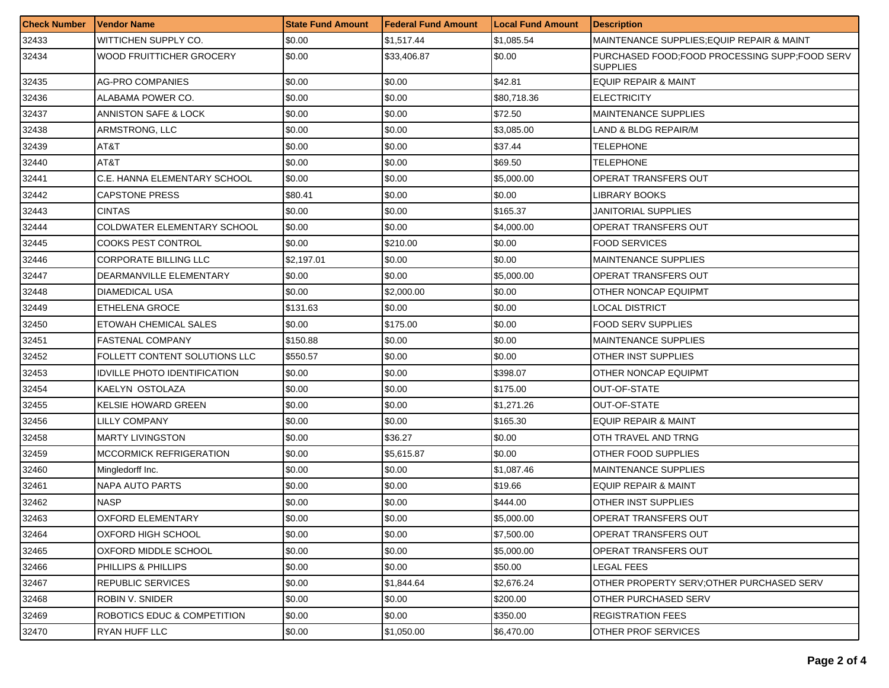| <b>Check Number</b> | l Vendor Name                       | <b>State Fund Amount</b> | <b>Federal Fund Amount</b> | <b>Local Fund Amount</b> | <b>Description</b>                                               |
|---------------------|-------------------------------------|--------------------------|----------------------------|--------------------------|------------------------------------------------------------------|
| 32433               | WITTICHEN SUPPLY CO.                | \$0.00                   | \$1,517.44                 | \$1,085.54               | MAINTENANCE SUPPLIES; EQUIP REPAIR & MAINT                       |
| 32434               | <b>WOOD FRUITTICHER GROCERY</b>     | \$0.00                   | \$33,406.87                | \$0.00                   | PURCHASED FOOD:FOOD PROCESSING SUPP:FOOD SERV<br><b>SUPPLIES</b> |
| 32435               | AG-PRO COMPANIES                    | \$0.00                   | \$0.00                     | \$42.81                  | <b>EQUIP REPAIR &amp; MAINT</b>                                  |
| 32436               | ALABAMA POWER CO.                   | \$0.00                   | \$0.00                     | \$80,718.36              | <b>ELECTRICITY</b>                                               |
| 32437               | ANNISTON SAFE & LOCK                | \$0.00                   | \$0.00                     | \$72.50                  | <b>MAINTENANCE SUPPLIES</b>                                      |
| 32438               | ARMSTRONG, LLC                      | \$0.00                   | \$0.00                     | \$3,085.00               | LAND & BLDG REPAIR/M                                             |
| 32439               | AT&T                                | \$0.00                   | \$0.00                     | \$37.44                  | TELEPHONE                                                        |
| 32440               | AT&T                                | \$0.00                   | \$0.00                     | \$69.50                  | TELEPHONE                                                        |
| 32441               | C.E. HANNA ELEMENTARY SCHOOL        | \$0.00                   | \$0.00                     | \$5,000.00               | OPERAT TRANSFERS OUT                                             |
| 32442               | <b>CAPSTONE PRESS</b>               | \$80.41                  | \$0.00                     | \$0.00                   | <b>LIBRARY BOOKS</b>                                             |
| 32443               | <b>CINTAS</b>                       | \$0.00                   | \$0.00                     | \$165.37                 | JANITORIAL SUPPLIES                                              |
| 32444               | COLDWATER ELEMENTARY SCHOOL         | \$0.00                   | \$0.00                     | \$4,000.00               | OPERAT TRANSFERS OUT                                             |
| 32445               | <b>COOKS PEST CONTROL</b>           | \$0.00                   | \$210.00                   | \$0.00                   | <b>FOOD SERVICES</b>                                             |
| 32446               | <b>CORPORATE BILLING LLC</b>        | \$2,197.01               | \$0.00                     | \$0.00                   | MAINTENANCE SUPPLIES                                             |
| 32447               | DEARMANVILLE ELEMENTARY             | \$0.00                   | \$0.00                     | \$5,000.00               | <b>OPERAT TRANSFERS OUT</b>                                      |
| 32448               | <b>DIAMEDICAL USA</b>               | \$0.00                   | \$2,000.00                 | \$0.00                   | OTHER NONCAP EQUIPMT                                             |
| 32449               | <b>ETHELENA GROCE</b>               | \$131.63                 | \$0.00                     | \$0.00                   | LOCAL DISTRICT                                                   |
| 32450               | ETOWAH CHEMICAL SALES               | \$0.00                   | \$175.00                   | \$0.00                   | <b>FOOD SERV SUPPLIES</b>                                        |
| 32451               | <b>FASTENAL COMPANY</b>             | \$150.88                 | \$0.00                     | \$0.00                   | MAINTENANCE SUPPLIES                                             |
| 32452               | FOLLETT CONTENT SOLUTIONS LLC       | \$550.57                 | \$0.00                     | \$0.00                   | OTHER INST SUPPLIES                                              |
| 32453               | <b>IDVILLE PHOTO IDENTIFICATION</b> | \$0.00                   | \$0.00                     | \$398.07                 | OTHER NONCAP EQUIPMT                                             |
| 32454               | KAELYN OSTOLAZA                     | \$0.00                   | \$0.00                     | \$175.00                 | OUT-OF-STATE                                                     |
| 32455               | <b>KELSIE HOWARD GREEN</b>          | \$0.00                   | \$0.00                     | \$1,271.26               | OUT-OF-STATE                                                     |
| 32456               | LILLY COMPANY                       | \$0.00                   | \$0.00                     | \$165.30                 | EQUIP REPAIR & MAINT                                             |
| 32458               | <b>MARTY LIVINGSTON</b>             | \$0.00                   | \$36.27                    | \$0.00                   | OTH TRAVEL AND TRNG                                              |
| 32459               | <b>MCCORMICK REFRIGERATION</b>      | \$0.00                   | \$5,615.87                 | \$0.00                   | OTHER FOOD SUPPLIES                                              |
| 32460               | Mingledorff Inc.                    | \$0.00                   | \$0.00                     | \$1,087.46               | <b>MAINTENANCE SUPPLIES</b>                                      |
| 32461               | <b>NAPA AUTO PARTS</b>              | \$0.00                   | \$0.00                     | \$19.66                  | <b>EQUIP REPAIR &amp; MAINT</b>                                  |
| 32462               | <b>NASP</b>                         | \$0.00                   | \$0.00                     | \$444.00                 | OTHER INST SUPPLIES                                              |
| 32463               | OXFORD ELEMENTARY                   | \$0.00                   | \$0.00                     | \$5,000.00               | OPERAT TRANSFERS OUT                                             |
| 32464               | OXFORD HIGH SCHOOL                  | \$0.00                   | \$0.00                     | \$7,500.00               | OPERAT TRANSFERS OUT                                             |
| 32465               | OXFORD MIDDLE SCHOOL                | \$0.00                   | \$0.00                     | \$5,000.00               | OPERAT TRANSFERS OUT                                             |
| 32466               | PHILLIPS & PHILLIPS                 | \$0.00                   | \$0.00                     | \$50.00                  | LEGAL FEES                                                       |
| 32467               | REPUBLIC SERVICES                   | \$0.00                   | \$1,844.64                 | \$2,676.24               | OTHER PROPERTY SERV; OTHER PURCHASED SERV                        |
| 32468               | ROBIN V. SNIDER                     | \$0.00                   | \$0.00                     | \$200.00                 | OTHER PURCHASED SERV                                             |
| 32469               | ROBOTICS EDUC & COMPETITION         | \$0.00                   | \$0.00                     | \$350.00                 | <b>REGISTRATION FEES</b>                                         |
| 32470               | <b>RYAN HUFF LLC</b>                | \$0.00                   | \$1,050.00                 | \$6,470.00               | OTHER PROF SERVICES                                              |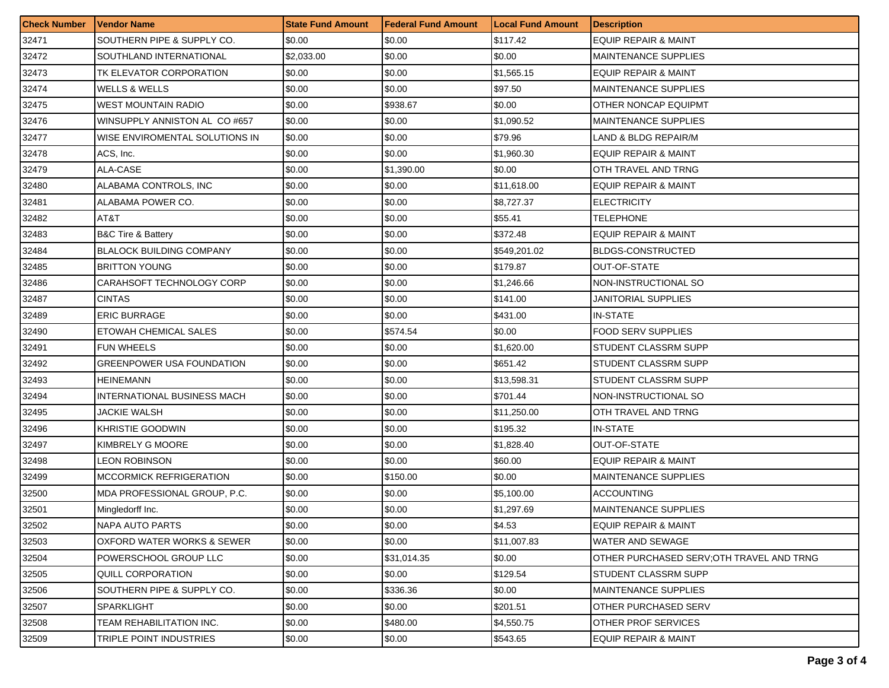| <b>Check Number</b> | <b>Vendor Name</b>                | <b>State Fund Amount</b> | <b>Federal Fund Amount</b> | <b>Local Fund Amount</b> | <b>Description</b>                       |
|---------------------|-----------------------------------|--------------------------|----------------------------|--------------------------|------------------------------------------|
| 32471               | SOUTHERN PIPE & SUPPLY CO.        | \$0.00                   | \$0.00                     | \$117.42                 | <b>EQUIP REPAIR &amp; MAINT</b>          |
| 32472               | SOUTHLAND INTERNATIONAL           | \$2,033.00               | \$0.00                     | \$0.00                   | <b>MAINTENANCE SUPPLIES</b>              |
| 32473               | TK ELEVATOR CORPORATION           | \$0.00                   | \$0.00                     | \$1,565.15               | EQUIP REPAIR & MAINT                     |
| 32474               | <b>WELLS &amp; WELLS</b>          | \$0.00                   | \$0.00                     | \$97.50                  | <b>MAINTENANCE SUPPLIES</b>              |
| 32475               | <b>WEST MOUNTAIN RADIO</b>        | \$0.00                   | \$938.67                   | \$0.00                   | OTHER NONCAP EQUIPMT                     |
| 32476               | WINSUPPLY ANNISTON AL CO #657     | \$0.00                   | \$0.00                     | \$1,090.52               | <b>MAINTENANCE SUPPLIES</b>              |
| 32477               | WISE ENVIROMENTAL SOLUTIONS IN    | \$0.00                   | \$0.00                     | \$79.96                  | LAND & BLDG REPAIR/M                     |
| 32478               | ACS, Inc.                         | \$0.00                   | \$0.00                     | \$1,960.30               | <b>EQUIP REPAIR &amp; MAINT</b>          |
| 32479               | ALA-CASE                          | \$0.00                   | \$1,390.00                 | \$0.00                   | OTH TRAVEL AND TRNG                      |
| 32480               | ALABAMA CONTROLS, INC             | \$0.00                   | \$0.00                     | \$11,618.00              | <b>EQUIP REPAIR &amp; MAINT</b>          |
| 32481               | ALABAMA POWER CO.                 | \$0.00                   | \$0.00                     | \$8,727.37               | <b>ELECTRICITY</b>                       |
| 32482               | AT&T                              | \$0.00                   | \$0.00                     | \$55.41                  | TELEPHONE                                |
| 32483               | <b>B&amp;C Tire &amp; Battery</b> | \$0.00                   | \$0.00                     | \$372.48                 | <b>EQUIP REPAIR &amp; MAINT</b>          |
| 32484               | <b>BLALOCK BUILDING COMPANY</b>   | \$0.00                   | \$0.00                     | \$549,201.02             | <b>BLDGS-CONSTRUCTED</b>                 |
| 32485               | <b>BRITTON YOUNG</b>              | \$0.00                   | \$0.00                     | \$179.87                 | OUT-OF-STATE                             |
| 32486               | CARAHSOFT TECHNOLOGY CORP         | \$0.00                   | \$0.00                     | \$1,246.66               | NON-INSTRUCTIONAL SO                     |
| 32487               | <b>CINTAS</b>                     | \$0.00                   | \$0.00                     | \$141.00                 | JANITORIAL SUPPLIES                      |
| 32489               | <b>ERIC BURRAGE</b>               | \$0.00                   | \$0.00                     | \$431.00                 | <b>IN-STATE</b>                          |
| 32490               | <b>ETOWAH CHEMICAL SALES</b>      | \$0.00                   | \$574.54                   | \$0.00                   | <b>FOOD SERV SUPPLIES</b>                |
| 32491               | <b>FUN WHEELS</b>                 | \$0.00                   | \$0.00                     | \$1,620.00               | STUDENT CLASSRM SUPP                     |
| 32492               | <b>GREENPOWER USA FOUNDATION</b>  | \$0.00                   | \$0.00                     | \$651.42                 | STUDENT CLASSRM SUPP                     |
| 32493               | <b>HEINEMANN</b>                  | \$0.00                   | \$0.00                     | \$13,598.31              | STUDENT CLASSRM SUPP                     |
| 32494               | INTERNATIONAL BUSINESS MACH       | \$0.00                   | \$0.00                     | \$701.44                 | NON-INSTRUCTIONAL SO                     |
| 32495               | JACKIE WALSH                      | \$0.00                   | \$0.00                     | \$11,250.00              | OTH TRAVEL AND TRNG                      |
| 32496               | KHRISTIE GOODWIN                  | \$0.00                   | \$0.00                     | \$195.32                 | <b>IN-STATE</b>                          |
| 32497               | KIMBRELY G MOORE                  | \$0.00                   | \$0.00                     | \$1,828.40               | <b>OUT-OF-STATE</b>                      |
| 32498               | LEON ROBINSON                     | \$0.00                   | \$0.00                     | \$60.00                  | <b>EQUIP REPAIR &amp; MAINT</b>          |
| 32499               | <b>MCCORMICK REFRIGERATION</b>    | \$0.00                   | \$150.00                   | \$0.00                   | <b>MAINTENANCE SUPPLIES</b>              |
| 32500               | MDA PROFESSIONAL GROUP, P.C.      | \$0.00                   | \$0.00                     | \$5,100.00               | <b>ACCOUNTING</b>                        |
| 32501               | Mingledorff Inc.                  | \$0.00                   | \$0.00                     | \$1,297.69               | <b>MAINTENANCE SUPPLIES</b>              |
| 32502               | <b>NAPA AUTO PARTS</b>            | \$0.00                   | \$0.00                     | \$4.53                   | EQUIP REPAIR & MAINT                     |
| 32503               | OXFORD WATER WORKS & SEWER        | \$0.00                   | \$0.00                     | \$11,007.83              | WATER AND SEWAGE                         |
| 32504               | POWERSCHOOL GROUP LLC             | \$0.00                   | \$31,014.35                | \$0.00                   | OTHER PURCHASED SERV:OTH TRAVEL AND TRNG |
| 32505               | QUILL CORPORATION                 | \$0.00                   | \$0.00                     | \$129.54                 | STUDENT CLASSRM SUPP                     |
| 32506               | SOUTHERN PIPE & SUPPLY CO.        | \$0.00                   | \$336.36                   | \$0.00                   | <b>MAINTENANCE SUPPLIES</b>              |
| 32507               | <b>SPARKLIGHT</b>                 | \$0.00                   | \$0.00                     | \$201.51                 | OTHER PURCHASED SERV                     |
| 32508               | TEAM REHABILITATION INC.          | \$0.00                   | \$480.00                   | \$4,550.75               | OTHER PROF SERVICES                      |
| 32509               | TRIPLE POINT INDUSTRIES           | \$0.00                   | \$0.00                     | \$543.65                 | EQUIP REPAIR & MAINT                     |